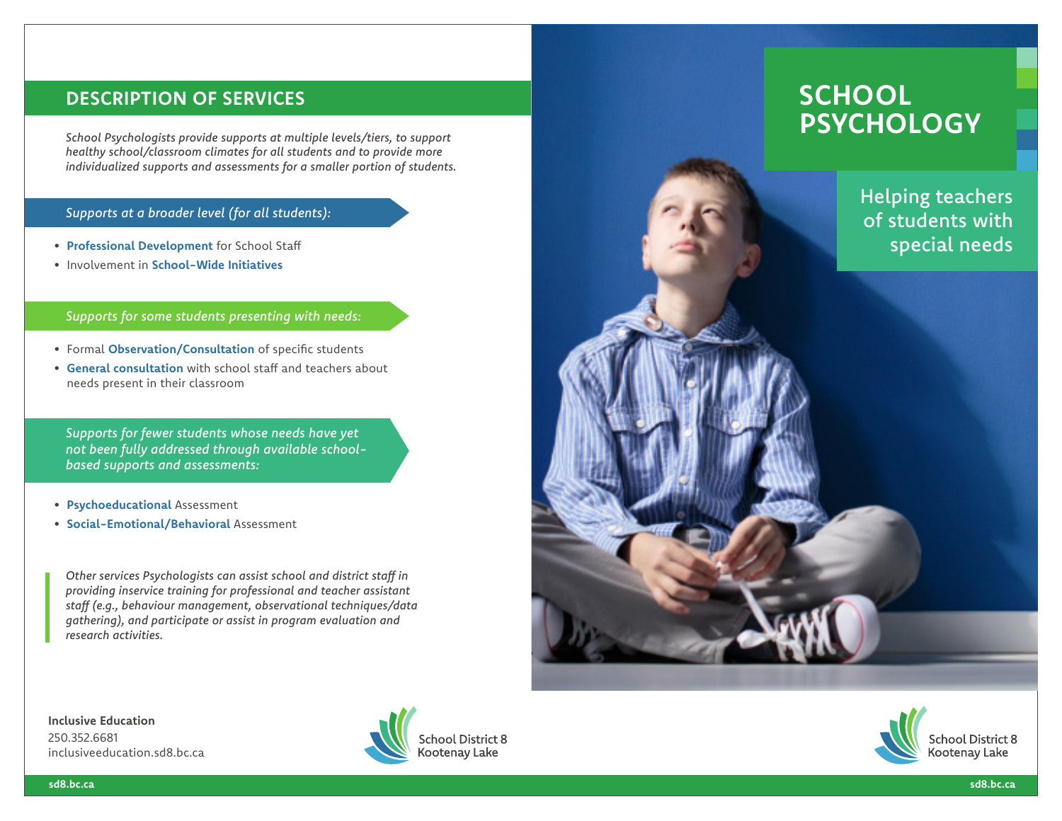# **DESCRIPTION OF SERVICES**

*School Psychologists provide supports at multiple levels/tiers, to support healthy school/classroom climates for all students and to provide more individualized supports and assessments for a smaller portion of students.*

*Supports at a broader level (for all students):*

- **Professional Development** for School Staff
- Involvement in **School-Wide Initiatives**

*Supports for some students presenting with needs:*

- Formal **Observation/Consultation** of specific students
- **General consultation** with school staff and teachers about needs present in their classroom

*Supports for fewer students whose needs have yet not been fully addressed through available schoolbased supports and assessments:*

- **Psychoeducational** Assessment
- **Social-Emotional/Behavioral** Assessment

*Other services Psychologists can assist school and district staff in providing inservice training for professional and teacher assistant staff (e.g., behaviour management, observational techniques/data gathering), and participate or assist in program evaluation and research activities.* 



Helping teachers of students with special needs

**Inclusive Education** 250.352.6681 inclusiveeducation.sd8.bc.ca